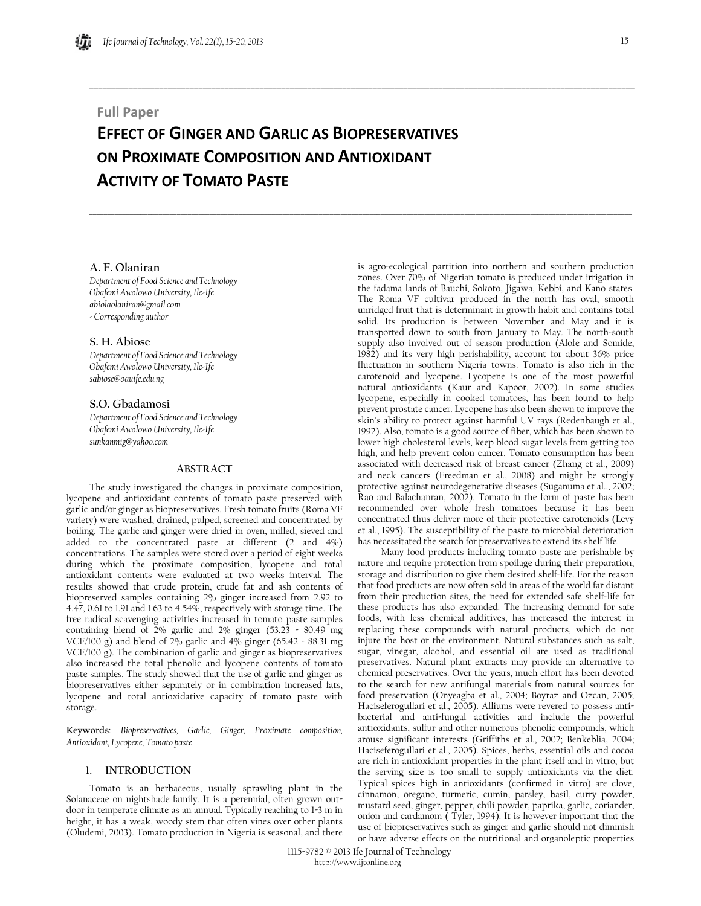## **Full Paper**

# **EFFECT OF GINGER AND GARLIC AS BIOPRESERVATIVES ON PROXIMATE COMPOSITION AND ANTIOXIDANT ACTIVITY OF TOMATO PASTE**

**\_\_\_\_\_\_\_\_\_\_\_\_\_\_\_\_\_\_\_\_\_\_\_\_\_\_\_\_\_\_\_\_\_\_\_\_\_\_\_\_\_\_\_\_\_\_\_\_\_\_\_\_\_\_\_\_\_\_\_\_\_\_\_\_\_\_\_\_\_\_\_\_\_\_\_\_\_\_\_\_\_\_\_\_\_\_\_\_\_\_\_\_\_\_\_\_\_\_\_\_\_\_\_\_\_\_\_\_\_\_\_\_\_\_\_\_\_\_\_\_\_\_\_\_\_** 

 $\Box \rightarrow \Box \rightarrow \Box$ 

## **A. F. Olaniran**

*Department of Food Science and Technology Obafemi Awolowo University, Ile-Ife abiolaolaniran@gmail.com - Corresponding author* 

## **S. H. Abiose**

*Department of Food Science and Technology Obafemi Awolowo University, Ile-Ife sabiose@oauife.edu.ng* 

## **S.O. Gbadamosi**

*Department of Food Science and Technology Obafemi Awolowo University, Ile-Ife sunkanmig@yahoo.com* 

## **ABSTRACT**

The study investigated the changes in proximate composition, lycopene and antioxidant contents of tomato paste preserved with garlic and/or ginger as biopreservatives. Fresh tomato fruits (Roma VF variety) were washed, drained, pulped, screened and concentrated by boiling. The garlic and ginger were dried in oven, milled, sieved and added to the concentrated paste at different (2 and 4%) concentrations. The samples were stored over a period of eight weeks during which the proximate composition, lycopene and total antioxidant contents were evaluated at two weeks interval. The results showed that crude protein, crude fat and ash contents of biopreserved samples containing 2% ginger increased from 2.92 to 4.47, 0.61 to 1.91 and 1.63 to 4.54%, respectively with storage time. The free radical scavenging activities increased in tomato paste samples containing blend of 2% garlic and 2% ginger (53.23 - 80.49 mg VCE/100 g) and blend of  $2\%$  garlic and  $4\%$  ginger (65.42 - 88.31 mg VCE/100 g). The combination of garlic and ginger as biopreservatives also increased the total phenolic and lycopene contents of tomato paste samples. The study showed that the use of garlic and ginger as biopreservatives either separately or in combination increased fats, lycopene and total antioxidative capacity of tomato paste with storage.

**Keywords**: *Biopreservatives, Garlic, Ginger, Proximate composition, Antioxidant, Lycopene, Tomato paste*

## **1. INTRODUCTION**

Tomato is an herbaceous, usually sprawling plant in the Solanaceae on nightshade family. It is a perennial, often grown outdoor in temperate climate as an annual. Typically reaching to 1-3 m in height, it has a weak, woody stem that often vines over other plants (Oludemi, 2003). Tomato production in Nigeria is seasonal, and there is agro-ecological partition into northern and southern production zones. Over 70% of Nigerian tomato is produced under irrigation in the fadama lands of Bauchi, Sokoto, Jigawa, Kebbi, and Kano states. The Roma VF cultivar produced in the north has oval, smooth unridged fruit that is determinant in growth habit and contains total solid. Its production is between November and May and it is transported down to south from January to May. The north-south supply also involved out of season production (Alofe and Somide, 1982) and its very high perishability, account for about 36% price fluctuation in southern Nigeria towns. Tomato is also rich in the carotenoid and lycopene. Lycopene is one of the most powerful natural antioxidants (Kaur and Kapoor, 2002). In some studies lycopene, especially in cooked tomatoes, has been found to help prevent prostate cancer. Lycopene has also been shown to improve the skin's ability to protect against harmful UV rays (Redenbaugh et al., 1992). Also, tomato is a good source of fiber, which has been shown to lower high cholesterol levels, keep blood sugar levels from getting too high, and help prevent colon cancer. Tomato consumption has been associated with decreased risk of breast cancer (Zhang et al., 2009) and neck cancers (Freedman et al., 2008) and might be strongly protective against neurodegenerative diseases (Suganuma et al.., 2002; Rao and Balachanran, 2002). Tomato in the form of paste has been recommended over whole fresh tomatoes because it has been concentrated thus deliver more of their protective carotenoids (Levy et al., 1995). The susceptibility of the paste to microbial deterioration has necessitated the search for preservatives to extend its shelf life.

Many food products including tomato paste are perishable by nature and require protection from spoilage during their preparation, storage and distribution to give them desired shelf-life. For the reason that food products are now often sold in areas of the world far distant from their production sites, the need for extended safe shelf-life for these products has also expanded. The increasing demand for safe foods, with less chemical additives, has increased the interest in replacing these compounds with natural products, which do not injure the host or the environment. Natural substances such as salt, sugar, vinegar, alcohol, and essential oil are used as traditional preservatives. Natural plant extracts may provide an alternative to chemical preservatives. Over the years, much effort has been devoted to the search for new antifungal materials from natural sources for food preservation (Onyeagba et al., 2004; Boyraz and Ozcan, 2005; Haciseferogullari et al., 2005). Alliums were revered to possess antibacterial and anti-fungal activities and include the powerful antioxidants, sulfur and other numerous phenolic compounds, which arouse significant interests (Griffiths et al., 2002; Benkeblia, 2004; Haciseferogullari et al., 2005). Spices, herbs, essential oils and cocoa are rich in antioxidant properties in the plant itself and in vitro, but the serving size is too small to supply antioxidants via the diet. Typical spices high in antioxidants (confirmed in vitro) are clove, cinnamon, oregano, turmeric, cumin, parsley, basil, curry powder, mustard seed, ginger, pepper, chili powder, paprika, garlic, coriander, onion and cardamom ( Tyler, 1994). It is however important that the use of biopreservatives such as ginger and garlic should not diminish or have adverse effects on the nutritional and organoleptic properties

1115-9782 © 2013 Ife Journal of Technology http://www.ijtonline.org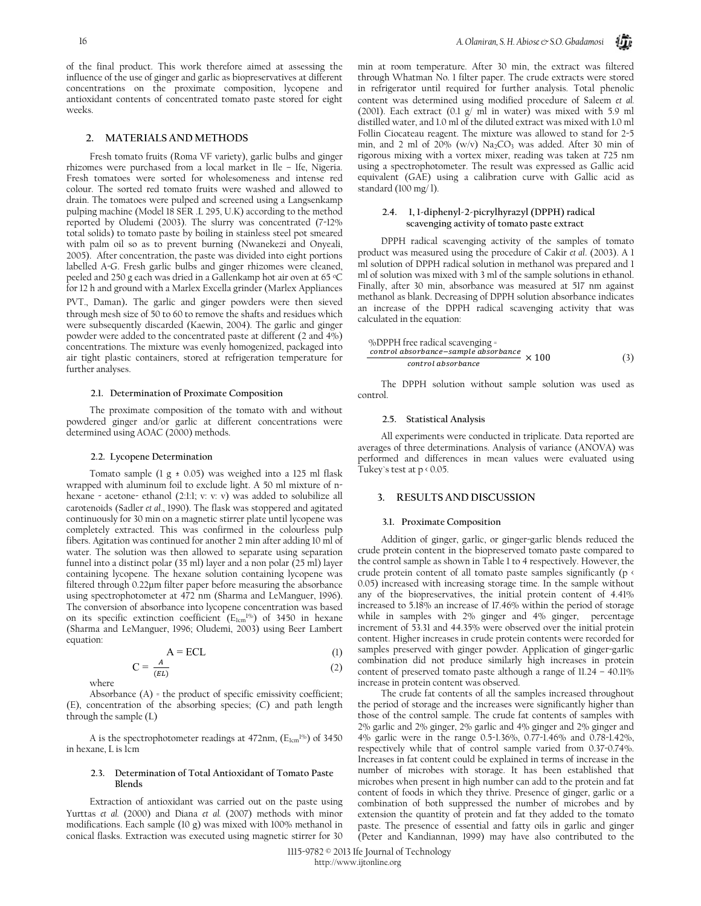of the final product. This work therefore aimed at assessing the influence of the use of ginger and garlic as biopreservatives at different concentrations on the proximate composition, lycopene and antioxidant contents of concentrated tomato paste stored for eight weeks.

#### **2. MATERIALS AND METHODS**

Fresh tomato fruits (Roma VF variety), garlic bulbs and ginger rhizomes were purchased from a local market in Ile – Ife, Nigeria. Fresh tomatoes were sorted for wholesomeness and intense red colour. The sorted red tomato fruits were washed and allowed to drain. The tomatoes were pulped and screened using a Langsenkamp pulping machine (Model 18 SER .L 295, U.K) according to the method reported by Oludemi (2003). The slurry was concentrated (7-12% total solids) to tomato paste by boiling in stainless steel pot smeared with palm oil so as to prevent burning (Nwanekezi and Onyeali, 2005). After concentration, the paste was divided into eight portions labelled A-G. Fresh garlic bulbs and ginger rhizomes were cleaned, peeled and 250 g each was dried in a Gallenkamp hot air oven at 65 °C for 12 h and ground with a Marlex Excella grinder (Marlex Appliances PVT., Daman). The garlic and ginger powders were then sieved through mesh size of 50 to 60 to remove the shafts and residues which were subsequently discarded (Kaewin, 2004). The garlic and ginger powder were added to the concentrated paste at different (2 and 4%) concentrations. The mixture was evenly homogenized, packaged into air tight plastic containers, stored at refrigeration temperature for further analyses.

#### **2.1. Determination of Proximate Composition**

The proximate composition of the tomato with and without powdered ginger and/or garlic at different concentrations were determined using AOAC (2000) methods.

#### **2.2. Lycopene Determination**

Tomato sample (1 g  $\pm$  0.05) was weighed into a 125 ml flask wrapped with aluminum foil to exclude light. A 50 ml mixture of nhexane - acetone- ethanol (2:1:1; v: v: v) was added to solubilize all carotenoids (Sadler *et al*., 1990). The flask was stoppered and agitated continuously for 30 min on a magnetic stirrer plate until lycopene was completely extracted. This was confirmed in the colourless pulp fibers. Agitation was continued for another 2 min after adding 10 ml of water. The solution was then allowed to separate using separation funnel into a distinct polar (35 ml) layer and a non polar (25 ml) layer containing lycopene. The hexane solution containing lycopene was filtered through 0.22μm filter paper before measuring the absorbance using spectrophotometer at 472 nm (Sharma and LeManguer, 1996). The conversion of absorbance into lycopene concentration was based on its specific extinction coefficient ( $E_{1cm}^{1\%}$ ) of 3450 in hexane (Sharma and LeManguer, 1996; Oludemi, 2003) using Beer Lambert equation:

$$
A = ECL
$$
 (1)

$$
C = \frac{A}{(EL)}\tag{2}
$$

where

Absorbance (A) = the product of specific emissivity coefficient; (E), concentration of the absorbing species; (C) and path length through the sample (L)

A is the spectrophotometer readings at  $472$ nm,  $(E_{1cm}^{196})$  of  $3450$ in hexane, L is 1cm

#### **2.3. Determination of Total Antioxidant of Tomato Paste Blends**

Extraction of antioxidant was carried out on the paste using Yurttas *et al.* (2000) and Diana *et al.* (2007) methods with minor modifications. Each sample (10 g) was mixed with 100% methanol in conical flasks. Extraction was executed using magnetic stirrer for 30 min at room temperature. After 30 min, the extract was filtered through Whatman No. 1 filter paper. The crude extracts were stored in refrigerator until required for further analysis. Total phenolic content was determined using modified procedure of Saleem *et al.* (2001). Each extract (0.1 g/ ml in water) was mixed with 5.9 ml distilled water, and 1.0 ml of the diluted extract was mixed with 1.0 ml Follin Ciocateau reagent. The mixture was allowed to stand for 2-5 min, and 2 ml of 20% (w/v) Na2CO3 was added. After 30 min of rigorous mixing with a vortex mixer, reading was taken at 725 nm using a spectrophotometer. The result was expressed as Gallic acid equivalent (GAE) using a calibration curve with Gallic acid as standard (100 mg/ l).

#### **2.4. 1, 1-diphenyl-2-picrylhyrazyl (DPPH) radical scavenging activity of tomato paste extract**

DPPH radical scavenging activity of the samples of tomato product was measured using the procedure of Cakir *et al*. (2003). A 1 ml solution of DPPH radical solution in methanol was prepared and 1 ml of solution was mixed with 3 ml of the sample solutions in ethanol. Finally, after 30 min, absorbance was measured at 517 nm against methanol as blank. Decreasing of DPPH solution absorbance indicates an increase of the DPPH radical scavenging activity that was calculated in the equation:

%DPPH free radical scavenging =

\n*control absorbance–sample absorbance* × 100

\n*control absorbance* × 100

\n
$$
(3)
$$

The DPPH solution without sample solution was used as control.

#### **2.5. Statistical Analysis**

All experiments were conducted in triplicate. Data reported are averages of three determinations. Analysis of variance (ANOVA) was performed and differences in mean values were evaluated using Tukey`s test at p < 0.05.

#### **3. RESULTS AND DISCUSSION**

#### **3.1. Proximate Composition**

Addition of ginger, garlic, or ginger-garlic blends reduced the crude protein content in the biopreserved tomato paste compared to the control sample as shown in Table 1 to 4 respectively. However, the crude protein content of all tomato paste samples significantly (p < 0.05) increased with increasing storage time. In the sample without any of the biopreservatives, the initial protein content of 4.41% increased to 5.18% an increase of 17.46% within the period of storage while in samples with 2% ginger and 4% ginger, percentage increment of 53.31 and 44.35% were observed over the initial protein content. Higher increases in crude protein contents were recorded for samples preserved with ginger powder. Application of ginger-garlic combination did not produce similarly high increases in protein content of preserved tomato paste although a range of 11.24 – 40.11% increase in protein content was observed.

The crude fat contents of all the samples increased throughout the period of storage and the increases were significantly higher than those of the control sample. The crude fat contents of samples with 2% garlic and 2% ginger, 2% garlic and 4% ginger and 2% ginger and 4% garlic were in the range 0.5-1.36%, 0.77-1.46% and 0.78-1.42%, respectively while that of control sample varied from 0.37-0.74%. Increases in fat content could be explained in terms of increase in the number of microbes with storage. It has been established that microbes when present in high number can add to the protein and fat content of foods in which they thrive. Presence of ginger, garlic or a combination of both suppressed the number of microbes and by extension the quantity of protein and fat they added to the tomato paste. The presence of essential and fatty oils in garlic and ginger (Peter and Kandiannan, 1999) may have also contributed to the

1115-9782 © 2013 Ife Journal of Technology http://www.ijtonline.org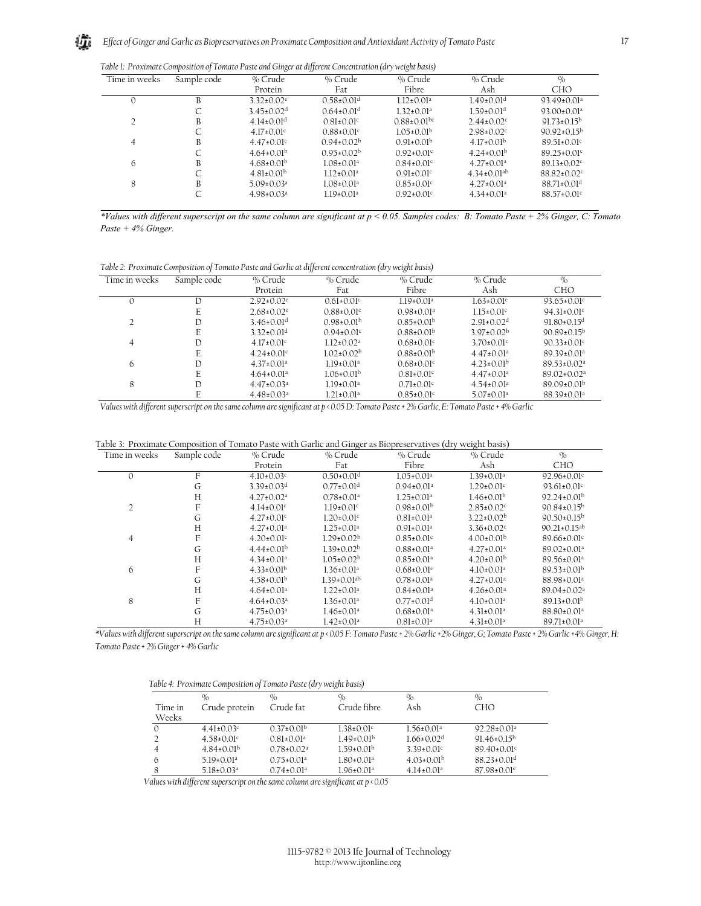*Table 1: Proximate Composition of Tomato Paste and Ginger at different Concentration (dry weight basis)* 

|               |             | $\circ$                      | ,,,                          | $\overline{\phantom{a}}$<br>$\circ$ |                               |                               |
|---------------|-------------|------------------------------|------------------------------|-------------------------------------|-------------------------------|-------------------------------|
| Time in weeks | Sample code | % Crude                      | % Crude                      | % Crude                             | % Crude                       | $\%$                          |
|               |             | Protein                      | Fat                          | Fibre                               | Ash                           | <b>CHO</b>                    |
| $\Omega$      | B           | $3.32 \pm 0.02$ <sup>e</sup> | $0.58 \pm 0.01$ <sup>d</sup> | $112+0.01a$                         | $1.49\pm0.01d$                | $93.49 \pm 0.01$ <sup>a</sup> |
|               | C           | $3.45 \pm 0.02$ <sup>d</sup> | $0.64 \pm 0.01$ <sup>d</sup> | $1.32 \pm 0.01$ <sup>a</sup>        | $1.59 \pm 0.01$ <sup>d</sup>  | $93.00 \pm 0.01$ <sup>a</sup> |
|               | B           | $4.14\pm0.01$ <sup>d</sup>   | $0.81 + 0.01c$               | $0.88 \pm 0.01$ <sup>bc</sup>       | $2.44+0.02c$                  | $91.73 \pm 0.15^{\rm b}$      |
|               | С           | $4.17 \pm 0.01$ °            | $0.88+0.01c$                 | $105+001b$                          | $2.98 \pm 0.02$ <sup>c</sup>  | $90.92+0.15^{b}$              |
| 4             | B           | $4.47\pm0.01c$               | $0.94\pm0.02b$               | $0.91\pm0.01b$                      | $4.17\pm0.01b$                | $89.51 \pm 0.01$ c            |
|               | C           | $4.64\pm0.01b$               | $0.95\pm0.02b$               | $0.92 \pm 0.01$ c                   | $4.24\pm0.01b$                | $89.25 \pm 0.01$ c            |
| 6             | B           | $4.68\pm0.01^{b}$            | $1.08 \pm 0.01$ <sup>a</sup> | $0.84 \pm 0.01$ <sup>c</sup>        | $4.27 \pm 0.01^a$             | $89.13 \pm 0.02$ <sup>c</sup> |
|               | C           | $4.81\pm0.01^{b}$            | $1.12 \pm 0.01^a$            | $0.91 \pm 0.01$ <sup>c</sup>        | $4.34 \pm 0.01$ <sup>ab</sup> | $88.82 \pm 0.02$ <sup>c</sup> |
| 8             | B           | $5.09 + 0.03a$               | $1.08 + 0.01a$               | $0.85+0.01c$                        | $4.27 \pm 0.01$ <sup>a</sup>  | $88.71 \pm 0.01$ <sup>d</sup> |
|               | C           | $4.98 \pm 0.03$ <sup>a</sup> | $1.19 \pm 0.01$ <sup>a</sup> | $0.92 \pm 0.01$ c                   | $4.34 \pm 0.01$ <sup>a</sup>  | $88.57 \pm 0.01$ c            |
|               |             |                              |                              |                                     |                               |                               |

*\*Values with different superscript on the same column are significant at p < 0.05. Samples codes: B: Tomato Paste + 2% Ginger, C: Tomato Paste + 4% Ginger.* 

*Table 2: Proximate Composition of Tomato Paste and Garlic at different concentration (dry weight basis)* 

| Time in weeks | Sample code | % Crude                      | % Crude                      | % Crude                      | % Crude                      | $\%$                          |
|---------------|-------------|------------------------------|------------------------------|------------------------------|------------------------------|-------------------------------|
|               |             | Protein                      | Fat                          | Fibre                        | Ash                          | <b>CHO</b>                    |
| $\Omega$      | D           | $2.92 \pm 0.02$ <sup>e</sup> | $0.61 \pm 0.01$ c            | $1.19 \pm 0.01$ <sup>a</sup> | $1.63 \pm 0.01$ <sup>e</sup> | $93.65 \pm 0.01$ <sup>e</sup> |
|               | E           | $2.68 \pm 0.02$ <sup>e</sup> | $0.88 \pm 0.01$ <sup>c</sup> | $0.98 \pm 0.01$ <sup>a</sup> | $1.15 \pm 0.01$ <sup>c</sup> | $94.31 \pm 0.01$ °            |
| 2             | D           | $3.46\pm0.01d$               | $0.98\pm0.01b$               | $0.85\pm0.01b$               | $2.91 \pm 0.02$ <sup>d</sup> | $91.80 \pm 0.15$ <sup>d</sup> |
|               | E           | $3.32 \pm 0.01$ <sup>d</sup> | $0.94 + 0.01c$               | $0.88\pm0.01b$               | $3.97\pm0.02b$               | $90.89 \pm 0.15^{\rm b}$      |
| 4             | Ð           | $4.17 \pm 0.01$ <sup>c</sup> | $112+0.02a$                  | $0.68 \pm 0.01$ c            | $3.70 \pm 0.01$ c            | $90.33 \pm 0.01$ c            |
|               | E           | $4.24 \pm 0.01$ °            | $1.02 \pm 0.02^{\rm b}$      | $0.88 \pm 0.01^{\rm b}$      | $4.47\pm0.01^a$              | $89.39 \pm 0.01^a$            |
| 6             | Ð           | $4.37 \pm 0.01$ <sup>a</sup> | $119+001^a$                  | $0.68 \pm 0.01$ °            | $4.23 \pm 0.01^{\rm b}$      | $89.53 \pm 0.02^a$            |
|               | E           | $4.64 \pm 0.01$ <sup>a</sup> | $1.06\pm0.01b$               | $0.81 \pm 0.01$ <sup>c</sup> | $4.47\pm0.01a$               | $89.02 \pm 0.02$ <sup>a</sup> |
| 8             | D           | $4.47 \pm 0.03$ <sup>a</sup> | $1.19 \pm 0.01$ <sup>a</sup> | $0.71 \pm 0.01$ <sup>c</sup> | $4.54 \pm 0.01$ <sup>a</sup> | $89.09 \pm 0.01^{\rm b}$      |
|               | E           | $4.48 \pm 0.03$ <sup>a</sup> | $1.21 \pm 0.01^a$            | $0.85 \pm 0.01$ <sup>c</sup> | $5.07 \pm 0.01$ <sup>a</sup> | $88.39 \pm 0.01^a$            |
|               |             |                              |                              |                              |                              |                               |

*Values with different superscript on the same column are significant at p < 0.05 D: Tomato Paste + 2% Garlic, E: Tomato Paste + 4% Garlic* 

Table 3: Proximate Composition of Tomato Paste with Garlic and Ginger as Biopreservatives (dry weight basis)

| Time in weeks  | Sample code | % Crude                      | % Crude                       | % Crude                      | % Crude                      | $\frac{0}{0}$                 |
|----------------|-------------|------------------------------|-------------------------------|------------------------------|------------------------------|-------------------------------|
|                |             | Protein                      | Fat                           | Fibre                        | Ash                          | <b>CHO</b>                    |
| $\Omega$       | F           | $4.10 \pm 0.03$ <sup>c</sup> | $0.50\pm0.01$ <sup>d</sup>    | $1.05 \pm 0.01$ <sup>a</sup> | $1.39 \pm 0.01^a$            | $92.96 \pm 0.01$ °            |
|                | G           | $3.39 \pm 0.03$ <sup>d</sup> | $0.77 \pm 0.01$ <sup>d</sup>  | $0.94\pm0.01a$               | $1.29 \pm 0.01$ °            | $93.61 \pm 0.01$ c            |
|                | H           | $4.27 \pm 0.02^a$            | $0.78 \pm 0.01$ <sup>a</sup>  | $1.25 \pm 0.01a$             | $1.46 \pm 0.01^{\rm b}$      | $92.24 \pm 0.01^{\rm b}$      |
| $\overline{2}$ | F           | $4.14 \pm 0.01$ <sup>c</sup> | $1.19 \pm 0.01$ c             | $0.98\pm0.01b$               | $2.85 \pm 0.02$              | $90.84 \pm 0.15^{\rm b}$      |
|                | G           | $4.27 \pm 0.01$ °            | $1.20 \pm 0.01$ °             | $0.81 \pm 0.01$ <sup>a</sup> | $3.22 \pm 0.02^{\rm b}$      | $90.50 \pm 0.15^{\rm b}$      |
|                | Н           | $4.27 \pm 0.01$ <sup>a</sup> | $125+0.01a$                   | $0.91 \pm 0.01$ <sup>a</sup> | $3.36 \pm 0.02$ <sup>c</sup> | $90.21 \pm 0.15^{ab}$         |
| 4              | F           | $4.20 \pm 0.01$ °            | $1.29 \pm 0.02^{\rm b}$       | $0.85 \pm 0.01$ °            | $4.00 \pm 0.01^{\rm b}$      | $89.66 \pm 0.01$ <sup>c</sup> |
|                | G           | $4.44\pm0.01b$               | $1.39 \pm 0.02^{\rm b}$       | $0.88 \pm 0.01$ <sup>a</sup> | $4.27 \pm 0.01$ <sup>a</sup> | $89.02 \pm 0.01$ <sup>a</sup> |
|                | Н           | $4.34\pm0.01a$               | $1.05 \pm 0.02^{\rm b}$       | $0.85 \pm 0.01$ <sup>a</sup> | $4.20\pm0.01b$               | $89.56 \pm 0.01$ <sup>a</sup> |
| 6              | F           | $4.33 \pm 0.01^{\rm b}$      | $1.36 \pm 0.01^a$             | $0.68 \pm 0.01$ <sup>e</sup> | $4.10\pm0.01^a$              | $89.53 \pm 0.01^{\rm b}$      |
|                | G           | $4.58 \pm 0.01^{\rm b}$      | $1.39 \pm 0.01$ <sup>ab</sup> | $0.78 \pm 0.01$ <sup>a</sup> | $4.27 \pm 0.01$ <sup>a</sup> | $88.98 \pm 0.01^a$            |
|                | H           | $4.64 \pm 0.01$ <sup>a</sup> | $1.22 \pm 0.01$ <sup>a</sup>  | $0.84 \pm 0.01$ <sup>a</sup> | $4.26 \pm 0.01$ <sup>a</sup> | $89.04 \pm 0.02$ <sup>a</sup> |
| 8              | F           | $4.64 \pm 0.03$ <sup>a</sup> | $1.36 \pm 0.01$ <sup>a</sup>  | $0.77 \pm 0.01$ <sup>d</sup> | $4.10 \pm 0.01$ <sup>a</sup> | $89.13 \pm 0.01^{\rm b}$      |
|                | G           | $4.75 \pm 0.03$ <sup>a</sup> | $1.46 \pm 0.01$ <sup>a</sup>  | $0.68 \pm 0.01$ <sup>a</sup> | $4.31 \pm 0.01$ <sup>a</sup> | 88.80±0.01ª                   |
|                | Н           | $4.75 \pm 0.03^a$            | $1.42 \pm 0.01$ <sup>a</sup>  | $0.81 \pm 0.01$ <sup>a</sup> | $4.31\pm0.01^a$              | $89.71 \pm 0.01^a$            |

*\*Values with different superscript on the same column are significant at p < 0.05 F: Tomato Paste + 2% Garlic +2% Ginger, G; Tomato Paste + 2% Garlic +4% Ginger, H: Tomato Paste + 2% Ginger + 4% Garlic* 

| Table 4: Proximate Composition of Tomato Paste (dry weight basis) |  |
|-------------------------------------------------------------------|--|
|-------------------------------------------------------------------|--|

|          | $\%$                         | $\%$                         | $\%$                         | $\%$                         | $\%$                          |
|----------|------------------------------|------------------------------|------------------------------|------------------------------|-------------------------------|
| Time in  | Crude protein                | Crude fat                    | Crude fibre                  | Ash                          | CHO                           |
| Weeks    |                              |                              |                              |                              |                               |
| $\Omega$ | $4.41 \pm 0.03$ °            | $0.37\pm0.01b$               | $1.38 \pm 0.01$ <sup>c</sup> | $1.56 \pm 0.01^a$            | $92.28 \pm 0.01$ <sup>a</sup> |
|          | $4.58 \pm 0.01$ c            | $0.81 \pm 0.01$ <sup>a</sup> | $1.49\pm0.01b$               | $1.66 \pm 0.02$ <sup>d</sup> | $91.46 \pm 0.15^{\rm b}$      |
|          | $4.84\pm0.01b$               | $0.78 \pm 0.02^a$            | $1.59 \pm 0.01^{\rm b}$      | $3,39+0,01c$                 | $89.40\pm0.01$ <sup>c</sup>   |
| 6        | $5.19 \pm 0.01$ <sup>a</sup> | $0.75 \pm 0.01$ <sup>a</sup> | $1.80 \pm 0.01$ <sup>a</sup> | $4.03 \pm 0.01$ <sup>b</sup> | $88.23 \pm 0.01$ <sup>d</sup> |
| 8        | $5.18 \pm 0.03$ <sup>a</sup> | $0.74 \pm 0.01$ <sup>a</sup> | $1.96 \pm 0.01$ <sup>a</sup> | $4.14 \pm 0.01^a$            | $87.98 \pm 0.01$ <sup>e</sup> |
|          |                              |                              |                              |                              |                               |

*Values with different superscript on the same column are significant at p < 0.05*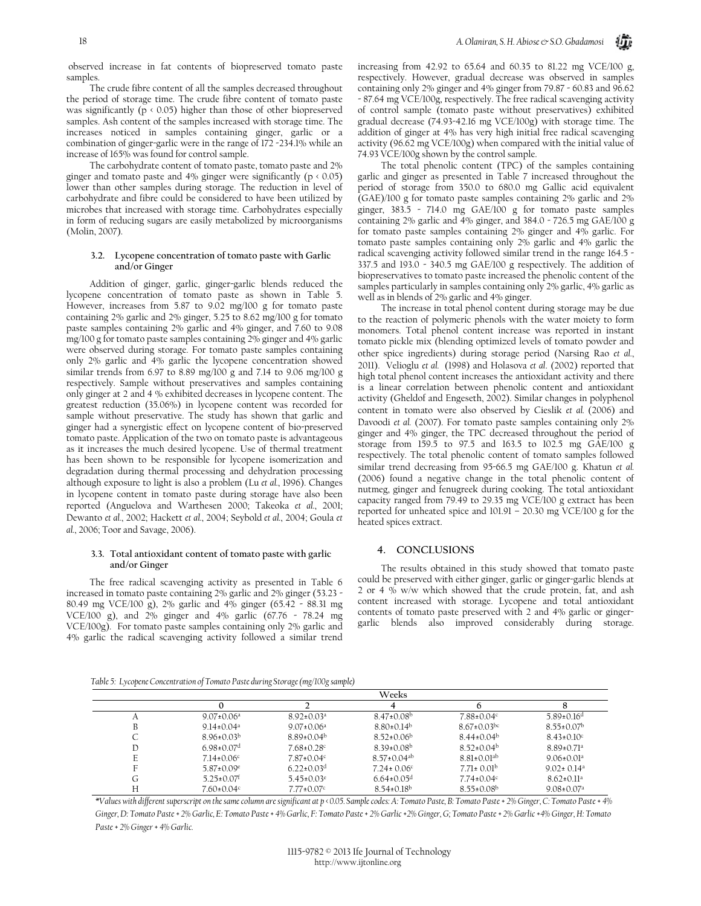observed increase in fat contents of biopreserved tomato paste samples.

The crude fibre content of all the samples decreased throughout the period of storage time. The crude fibre content of tomato paste was significantly ( $p \nless 0.05$ ) higher than those of other biopreserved samples. Ash content of the samples increased with storage time. The increases noticed in samples containing ginger, garlic or a combination of ginger-garlic were in the range of 172 -234.1% while an increase of 165% was found for control sample.

The carbohydrate content of tomato paste, tomato paste and 2% ginger and tomato paste and 4% ginger were significantly ( $p \nless 0.05$ ) lower than other samples during storage. The reduction in level of carbohydrate and fibre could be considered to have been utilized by microbes that increased with storage time. Carbohydrates especially in form of reducing sugars are easily metabolized by microorganisms (Molin, 2007).

#### **3.2. Lycopene concentration of tomato paste with Garlic and/or Ginger**

Addition of ginger, garlic, ginger-garlic blends reduced the lycopene concentration of tomato paste as shown in Table 5. However, increases from 5.87 to 9.02 mg/100 g for tomato paste containing 2% garlic and 2% ginger, 5.25 to 8.62 mg/100 g for tomato paste samples containing 2% garlic and 4% ginger, and 7.60 to 9.08 mg/100 g for tomato paste samples containing 2% ginger and 4% garlic were observed during storage. For tomato paste samples containing only 2% garlic and 4% garlic the lycopene concentration showed similar trends from 6.97 to 8.89 mg/100 g and 7.14 to 9.06 mg/100 g respectively. Sample without preservatives and samples containing only ginger at 2 and 4 % exhibited decreases in lycopene content. The greatest reduction (35.06%) in lycopene content was recorded for sample without preservative. The study has shown that garlic and ginger had a synergistic effect on lycopene content of bio-preserved tomato paste. Application of the two on tomato paste is advantageous as it increases the much desired lycopene. Use of thermal treatment has been shown to be responsible for lycopene isomerization and degradation during thermal processing and dehydration processing although exposure to light is also a problem (Lu *et al.*, 1996). Changes in lycopene content in tomato paste during storage have also been reported (Anguelova and Warthesen 2000; Takeoka *et al.*, 2001; Dewanto *et al.*, 2002; Hackett *et al.*, 2004; Seybold *et al.*, 2004; Goula *et al.*, 2006; Toor and Savage, 2006).

#### **3.3. Total antioxidant content of tomato paste with garlic and/or Ginger**

The free radical scavenging activity as presented in Table 6 increased in tomato paste containing 2% garlic and 2% ginger (53.23 - 80.49 mg VCE/100 g), 2% garlic and 4% ginger (65.42 - 88.31 mg VCE/100 g), and 2% ginger and 4% garlic (67.76 - 78.24 mg VCE/100g). For tomato paste samples containing only 2% garlic and 4% garlic the radical scavenging activity followed a similar trend increasing from 42.92 to 65.64 and 60.35 to 81.22 mg VCE/100 g, respectively. However, gradual decrease was observed in samples containing only 2% ginger and 4% ginger from 79.87 - 60.83 and 96.62 - 87.64 mg VCE/100g, respectively. The free radical scavenging activity of control sample (tomato paste without preservatives) exhibited gradual decrease (74.93-42.16 mg VCE/100g) with storage time. The addition of ginger at 4% has very high initial free radical scavenging activity (96.62 mg VCE/100g) when compared with the initial value of 74.93 VCE/100g shown by the control sample.

The total phenolic content (TPC) of the samples containing garlic and ginger as presented in Table 7 increased throughout the period of storage from 350.0 to 680.0 mg Gallic acid equivalent (GAE)/100 g for tomato paste samples containing 2% garlic and 2% ginger, 383.5 - 714.0 mg GAE/100 g for tomato paste samples containing 2% garlic and 4% ginger, and 384.0 - 726.5 mg GAE/100 g for tomato paste samples containing 2% ginger and 4% garlic. For tomato paste samples containing only 2% garlic and 4% garlic the radical scavenging activity followed similar trend in the range 164.5 - 337.5 and 193.0 - 340.5 mg GAE/100 g respectively. The addition of biopreservatives to tomato paste increased the phenolic content of the samples particularly in samples containing only 2% garlic, 4% garlic as well as in blends of 2% garlic and 4% ginger.

The increase in total phenol content during storage may be due to the reaction of polymeric phenols with the water moiety to form monomers. Total phenol content increase was reported in instant tomato pickle mix (blending optimized levels of tomato powder and other spice ingredients) during storage period (Narsing Rao *et al.*, 2011). Velioglu *et al.* (1998) and Holasova *et al*. (2002) reported that high total phenol content increases the antioxidant activity and there is a linear correlation between phenolic content and antioxidant activity (Gheldof and Engeseth, 2002). Similar changes in polyphenol content in tomato were also observed by Cieslik *et al.* (2006) and Davoodi *et al.* (2007). For tomato paste samples containing only 2% ginger and 4% ginger, the TPC decreased throughout the period of storage from 159.5 to 97.5 and 163.5 to 102.5 mg GAE/100 g respectively. The total phenolic content of tomato samples followed similar trend decreasing from 95-66.5 mg GAE/100 g. Khatun *et al.* (2006) found a negative change in the total phenolic content of nutmeg, ginger and fenugreek during cooking. The total antioxidant capacity ranged from 79.49 to 29.35 mg VCE/100 g extract has been reported for unheated spice and 101.91 – 20.30 mg VCE/100 g for the heated spices extract.

#### **4. CONCLUSIONS**

The results obtained in this study showed that tomato paste could be preserved with either ginger, garlic or ginger-garlic blends at 2 or 4 % w/w which showed that the crude protein, fat, and ash content increased with storage. Lycopene and total antioxidant contents of tomato paste preserved with 2 and 4% garlic or gingergarlic blends also improved considerably during storage.

*Table 5: Lycopene Concentration of Tomato Paste during Storage (mg/100g sample)* 

|   |                              | Weeks                        |                               |                              |                              |  |  |
|---|------------------------------|------------------------------|-------------------------------|------------------------------|------------------------------|--|--|
|   |                              |                              |                               |                              |                              |  |  |
| Α | $9.07 \pm 0.06^a$            | $8.92 \pm 0.03^a$            | $8.47\pm0.08^{b}$             | $7.88 \pm 0.04$ <sup>c</sup> | $5.89 \pm 0.16$ <sup>d</sup> |  |  |
| В | $9.14 \pm 0.04$ <sup>a</sup> | $9.07 \pm 0.06^a$            | $8.80\pm0.14b$                | $8.67\pm0.03$ <sup>bc</sup>  | $8.55 \pm 0.07^{\rm b}$      |  |  |
| U | $8.96\pm0.03b$               | $8.89 \pm 0.04^{\rm b}$      | $8.52 \pm 0.06^{\circ}$       | $8.44 \pm 0.04^b$            | $8.43 \pm 0.10$ °            |  |  |
| D | $6.98 \pm 0.07$ <sup>d</sup> | $7.68 \pm 0.28$ c            | $8.39 \pm 0.08^{\rm b}$       | $8.52 \pm 0.04^{\circ}$      | $8.89 \pm 0.71$ <sup>a</sup> |  |  |
| E | $7.14 \pm 0.06$ °            | $7.87 \pm 0.04$              | $8.57 \pm 0.04$ <sup>ab</sup> | $8.81\pm0.01^{ab}$           | $9.06 \pm 0.01$ <sup>a</sup> |  |  |
| F | $5.87 \pm 0.09$ <sup>e</sup> | $6.22 \pm 0.03$ <sup>d</sup> | $7.24 \pm 0.06$ <sup>c</sup>  | $7.71 \pm 0.01^{\rm b}$      | $9.02 \pm 0.14$ <sup>a</sup> |  |  |
| G | $5.25 \pm 0.07$ <sup>f</sup> | $5.45\pm0.03$ <sup>e</sup>   | $6.64 \pm 0.05$ <sup>d</sup>  | $7.74 \pm 0.04$ c            | $8.62 \pm 0.11$ <sup>a</sup> |  |  |
| Н | $7.60 \pm 0.04$ c            | $7.77 \pm 0.07$ °            | $8.54\pm0.18^{b}$             | $8.55 \pm 0.08$ <sup>b</sup> | $9.08 \pm 0.07$ <sup>a</sup> |  |  |

*\*Values with different superscript on the same column are significant at p < 0.05. Sample codes: A: Tomato Paste, B: Tomato Paste + 2% Ginger, C: Tomato Paste + 4% Ginger, D: Tomato Paste + 2% Garlic, E: Tomato Paste + 4% Garlic, F: Tomato Paste + 2% Garlic +2% Ginger, G; Tomato Paste + 2% Garlic +4% Ginger, H: Tomato Paste + 2% Ginger + 4% Garlic.*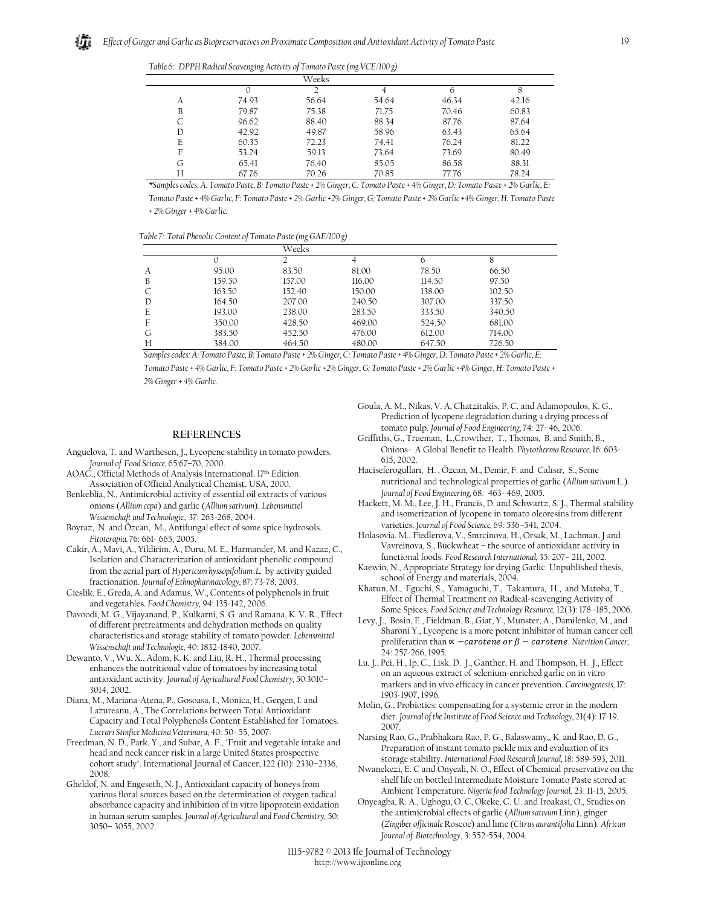|  | Table 6: DPPH Radical Scavenging Activity of Tomato Paste (mg VCE/100 g) |  |
|--|--------------------------------------------------------------------------|--|
|  |                                                                          |  |

|   | <u>。</u> | $\epsilon$<br>$\overline{\phantom{a}}$ | $\sim$<br>$\overline{\phantom{a}}$ |       |       |
|---|----------|----------------------------------------|------------------------------------|-------|-------|
|   |          | Weeks                                  |                                    |       |       |
|   |          | 2                                      |                                    | 6     | 8     |
| А | 74.93    | 56.64                                  | 54.64                              | 46.34 | 42.16 |
| B | 79.87    | 75.38                                  | 71.75                              | 70.46 | 60.83 |
| C | 96.62    | 88.40                                  | 88.34                              | 87.76 | 87.64 |
| D | 42.92    | 49.87                                  | 58.96                              | 63.43 | 65.64 |
| E | 60.35    | 72.23                                  | 74.41                              | 76.24 | 81.22 |
| F | 53.24    | 59.13                                  | 73.64                              | 73.69 | 80.49 |
| G | 65.41    | 76.40                                  | 85.05                              | 86.58 | 88.31 |
| Н | 67.76    | 70.26                                  | 70.85                              | 77.76 | 78.24 |

*\*Samples codes: A: Tomato Paste, B: Tomato Paste + 2% Ginger, C: Tomato Paste + 4% Ginger, D: Tomato Paste + 2% Garlic, E: Tomato Paste + 4% Garlic, F: Tomato Paste + 2% Garlic +2% Ginger, G; Tomato Paste + 2% Garlic +4% Ginger, H: Tomato Paste + 2% Ginger + 4% Garlic.* 

*Table 7: Total Phenolic Content of Tomato Paste (mg GAE/100 g)* 

|   |        | Weeks  |        |        |        |  |
|---|--------|--------|--------|--------|--------|--|
|   |        |        | 4      | 6      | 8      |  |
| А | 95.00  | 83.50  | 81.00  | 78.50  | 66.50  |  |
| B | 159.50 | 157.00 | 116.00 | 114.50 | 97.50  |  |
|   | 163.50 | 152.40 | 150.00 | 138.00 | 102.50 |  |
| D | 164.50 | 207.00 | 240.50 | 307.00 | 337.50 |  |
| E | 193.00 | 238.00 | 283.50 | 333.50 | 340.50 |  |
| F | 350.00 | 428.50 | 469.00 | 524.50 | 681.00 |  |
| G | 383.50 | 452.50 | 476.00 | 612.00 | 714.00 |  |
| Н | 384.00 | 464.50 | 480.00 | 647.50 | 726.50 |  |

*Samples codes: A: Tomato Paste, B: Tomato Paste + 2% Ginger, C: Tomato Paste + 4% Ginger, D: Tomato Paste + 2% Garlic, E:* 

*Tomato Paste + 4% Garlic, F: Tomato Paste + 2% Garlic +2% Ginger, G; Tomato Paste + 2% Garlic +4% Ginger, H: Tomato Paste + 2% Ginger + 4% Garlic.* 

#### **REFERENCES**

- Anguelova, T. and Warthesen, J., Lycopene stability in tomato powders. *Journal of Food Science,* 65*:*67–70, 2000.
- AOAC., Official Methods of Analysis International. 17th Edition. Association of Official Analytical Chemist. USA, 2000.
- Benkeblia, N., Antimicrobial activity of essential oil extracts of various onions (*Allium cepa*) and garlic (*Allium sativum*). *Lebensmittel Wissenschaft und Technologie.,* 37: 263-268, 2004.
- Boyraz, N. and Özcan, M., Antifungal effect of some spice hydrosols. *Fitoterapia.* 76: 661- 665, 2005.
- Cakir, A., Mavi, A., Yildirim, A., Duru, M. E., Harmander, M. and Kazaz, C., Isolation and Characterization of antioxidant phenolic compound from the aerial part of *Hypericum hyssopifolium .L.* by activity guided fractionation. *Journal of Ethnopharmacology,* 87: 73-78, 2003.
- Cieslik, E., Greda, A. and Adamus, W., Contents of polyphenols in fruit and vegetables. *Food Chemistry,* 94: 135-142, 2006.
- Davoodi, M. G., Vijayanand, P., Kulkarni, S. G. and Ramana, K. V. R., Effect of different pretreatments and dehydration methods on quality characteristics and storage stability of tomato powder. *Lebensmittel Wissenschaft und Technologie,* 40: 1832-1840, 2007.
- Dewanto, V., Wu, X., Adom, K. K. and Liu, R. H., Thermal processing enhances the nutritional value of tomatoes by increasing total antioxidant activity. *Journal of Agricultural Food Chemistry,* 50:3010– 3014, 2002.
- Diana, M., Mariana-Atena, P., Gosoasa, I., Monica, H., Gergen, I. and Lazureanu, A., The Correlations between Total Antioxidant Capacity and Total Polyphenols Content Established for Tomatoes. *Lucrari Stinfice Medicina Veterinara,* 40: 50- 55, 2007.
- Freedman, N. D., Park, Y., and Subar, A. F., "Fruit and vegetable intake and head and neck cancer risk in a large United States prospective cohort study". International Journal of Cancer, 122 (10): 2330–2336, 2008.
- Gheldof, N. and Engeseth, N. J., Antioxidant capacity of honeys from various floral sources based on the determination of oxygen radical absorbance capacity and inhibition of in vitro lipoprotein oxidation in human serum samples. *Journal of Agricultural and Food Chemistry,* 50: 3050– 3055, 2002.

Goula, A. M., Nikas, V. A, Chatzitakis, P. C. and Adamopoulos, K. G., Prediction of lycopene degradation during a drying process of tomato pulp. *Journal of Food Engineering,* 74*:* 27–46, 2006.

- Griffiths, G., Trueman, L.,Crowther, T., Thomas, B. and Smith, B., Onions- A Global Benefit to Health. *Phytotherma Resource,* 16: 603- 615, 2002.
- Haciseferogulları, H. , Özcan, M., Demir, F. and Calısır, S., Some nutritional and technological properties of garlic (*Allium sativum* L.). *Journal of Food Engineering,* 68: 463- 469, 2005.
- Hackett, M. M., Lee, J. H., Francis, D. and Schwartz, S. J., Thermal stability and isomerization of lycopene in tomato oleoresins from different varieties. *Journal of Food Science,* 69: 536–541, 2004.
- Holasovia. M., Fiedlerova, V., Smrcinova, H., Orsak, M., Lachman, J and Vavreinova, S., Buckwheat – the source of antioxidant activity in functional foods. *Food Research International,* 35: 207– 211, 2002.
- Kaewin, N., Appropriate Strategy for drying Garlic. Unpublished thesis, school of Energy and materials, 2004.
- Khatun, M., Eguchi, S., Yamaguchi, T., Takamura, H., and Matoba, T., Effect of Thermal Treatment on Radical-scavenging Activity of Some Spices. *Food Science and Technology Resource,* 12(3): 178 -185, 2006.
- Levy, J., Bosin, E., Fieldman, B., Giat, Y., Munster, A., Damilenko, M., and Sharoni Y., Lycopene is a more potent inhibitor of human cancer cell proliferation than  $\propto$   $-carot$ *ene* or  $\beta$   $-carot$ *ene.* Nutrition Cancer, 24: 257-266, 1995.
- Lu, J., Pei, H., Ip, C., Lisk, D. J., Ganther, H. and Thompson, H. J., Effect on an aqueous extract of selenium-enriched garlic on in vitro markers and in vivo efficacy in cancer prevention. *Carcinogenesis,* 17: 1903-1907, 1996.
- Molin, G., Probiotics: compensating for a systemic error in the modern diet. *Journal of the Institute of Food Science and Technology,* 21(4): 17-19, 2007.
- Narsing Rao, G., Prabhakara Rao, P. G., Balaswamy,, K. and Rao, D. G., Preparation of instant tomato pickle mix and evaluation of its storage stability. *International Food Research Journal,* 18: 589-593, 2011.
- Nwanekezi, E. C and Onyeali, N. O., Effect of Chemical preservative on the shelf life on bottled Intermediate Moisture Tomato Paste stored at Ambient Temperature. *Nigeria food Technology Journal,* 23: 11-15, 2005.
- Onyeagba, R. A., Ugbogu, O. C, Okeke, C. U. and Iroakasi, O., Studies on the antimicrobial effects of garlic (*Allium sativum* Linn), ginger (*Zingiber officinale* Roscoe) and lime (*Citrus aurantifolia* Linn). *African Journal of Biotechnology*, 3: 552-554, 2004.

1115-9782 © 2013 Ife Journal of Technology http://www.ijtonline.org